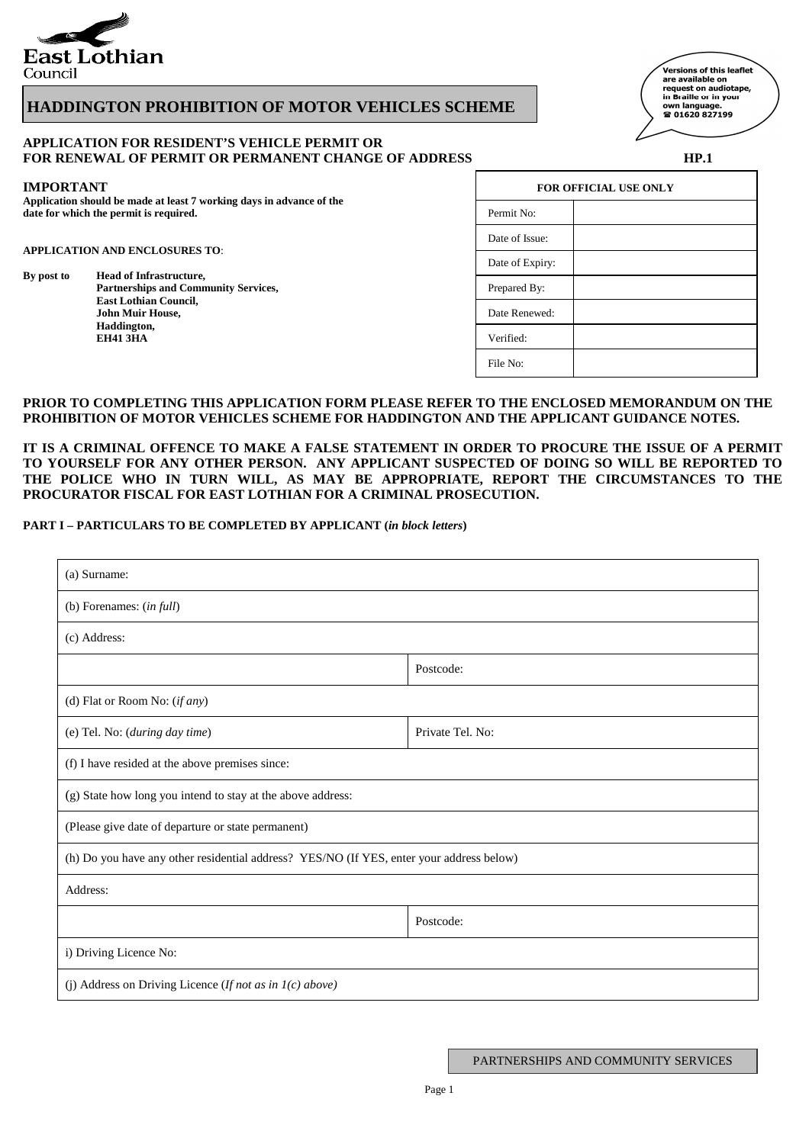

# **HADDINGTON PROHIBITION OF MOTOR VEHICLES SCHEME**

# \_<br>Versions of this leaflet are available on<br>request on audiotape, in Braille or in your own language.<br>**☎ 01620 827199**

# **APPLICATION FOR RESIDENT'S VEHICLE PERMIT OR**  FOR RENEWAL OF PERMIT OR PERMANENT CHANGE OF ADDRESS **HP.1 HP.1**

### **IMPORTANT**

**Application should be made at least 7 working days in advance of the**  date for which the permit is required.

### **APPLICATION AND ENCLOSURES TO**:

**By post to Head of Infrastructure,**  Partnerships and Community Services,  **East Lothian Council, John Muir House, Haddington, EH41 3HA** Verified:

| <b>FOR OFFICIAL USE ONLY</b> |  |  |  |  |
|------------------------------|--|--|--|--|
| Permit No:                   |  |  |  |  |
| Date of Issue:               |  |  |  |  |
| Date of Expiry:              |  |  |  |  |
| Prepared By:                 |  |  |  |  |
| Date Renewed:                |  |  |  |  |
| Verified:                    |  |  |  |  |
| File No:                     |  |  |  |  |

## **PRIOR TO COMPLETING THIS APPLICATION FORM PLEASE REFER TO THE ENCLOSED MEMORANDUM ON THE PROHIBITION OF MOTOR VEHICLES SCHEME FOR HADDINGTON AND THE APPLICANT GUIDANCE NOTES.**

**IT IS A CRIMINAL OFFENCE TO MAKE A FALSE STATEMENT IN ORDER TO PROCURE THE ISSUE OF A PERMIT TO YOURSELF FOR ANY OTHER PERSON. ANY APPLICANT SUSPECTED OF DOING SO WILL BE REPORTED TO THE POLICE WHO IN TURN WILL, AS MAY BE APPROPRIATE, REPORT THE CIRCUMSTANCES TO THE PROCURATOR FISCAL FOR EAST LOTHIAN FOR A CRIMINAL PROSECUTION.**

### **PART I – PARTICULARS TO BE COMPLETED BY APPLICANT (***in block letters***)**

| (a) Surname:                                                                             |                  |  |  |  |  |
|------------------------------------------------------------------------------------------|------------------|--|--|--|--|
| (b) Forenames: $(infull)$                                                                |                  |  |  |  |  |
| (c) Address:                                                                             |                  |  |  |  |  |
|                                                                                          | Postcode:        |  |  |  |  |
| (d) Flat or Room No: (if any)                                                            |                  |  |  |  |  |
| (e) Tel. No: (during day time)                                                           | Private Tel. No: |  |  |  |  |
| (f) I have resided at the above premises since:                                          |                  |  |  |  |  |
| (g) State how long you intend to stay at the above address:                              |                  |  |  |  |  |
| (Please give date of departure or state permanent)                                       |                  |  |  |  |  |
| (h) Do you have any other residential address? YES/NO (If YES, enter your address below) |                  |  |  |  |  |
| Address:                                                                                 |                  |  |  |  |  |
|                                                                                          | Postcode:        |  |  |  |  |
| i) Driving Licence No:                                                                   |                  |  |  |  |  |
| (j) Address on Driving Licence (If not as in $I(c)$ above)                               |                  |  |  |  |  |

PARTNERSHIPS AND COMMUNITY SERVICES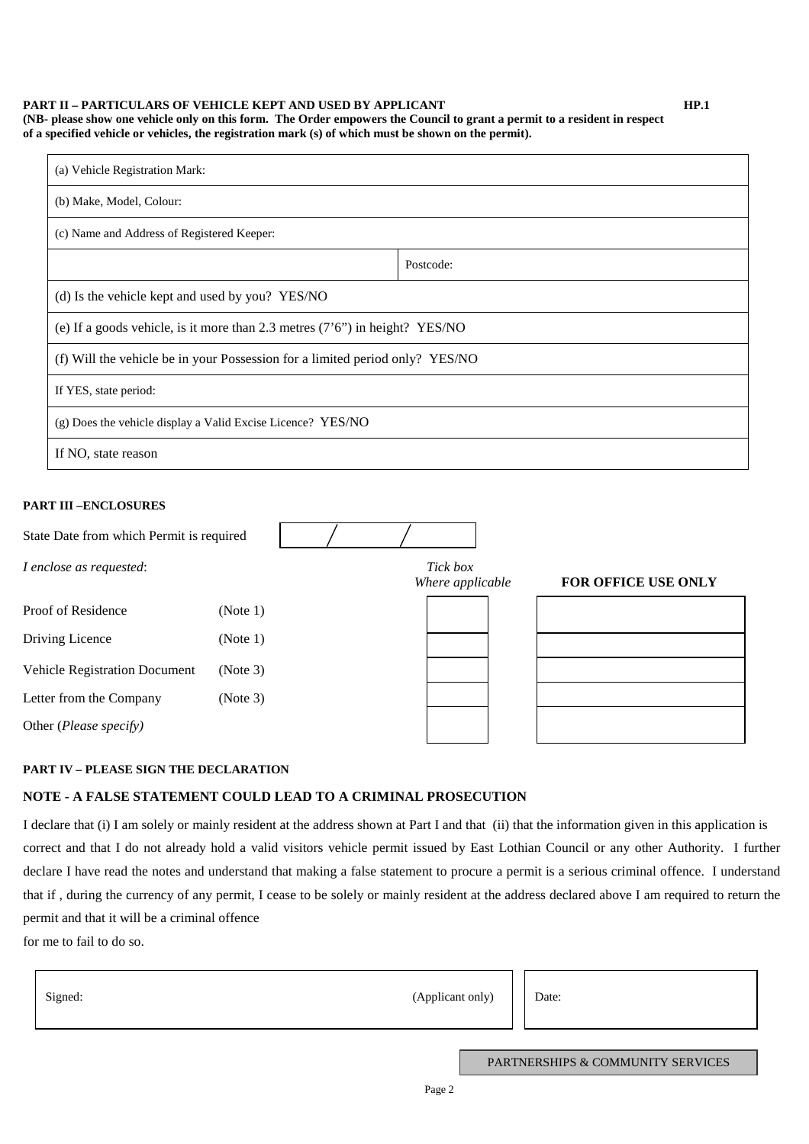#### **PART II – PARTICULARS OF VEHICLE KEPT AND USED BY APPLICANT HP.1 (NB- please show one vehicle only on this form. The Order empowers the Council to grant a permit to a resident in respect of a specified vehicle or vehicles, the registration mark (s) of which must be shown on the permit).**

| (a) Vehicle Registration Mark:                                                 |           |  |  |  |  |
|--------------------------------------------------------------------------------|-----------|--|--|--|--|
| (b) Make, Model, Colour:                                                       |           |  |  |  |  |
| (c) Name and Address of Registered Keeper:                                     |           |  |  |  |  |
|                                                                                | Postcode: |  |  |  |  |
| (d) Is the vehicle kept and used by you? YES/NO                                |           |  |  |  |  |
| (e) If a goods vehicle, is it more than 2.3 metres $(7'6'')$ in height? YES/NO |           |  |  |  |  |
| (f) Will the vehicle be in your Possession for a limited period only? YES/NO   |           |  |  |  |  |
| If YES, state period:                                                          |           |  |  |  |  |
| (g) Does the vehicle display a Valid Excise Licence? YES/NO                    |           |  |  |  |  |
| If NO, state reason                                                            |           |  |  |  |  |

# **PART III –ENCLOSURES**

| State Date from which Permit is required |                              |                            |  |
|------------------------------------------|------------------------------|----------------------------|--|
| I enclose as requested:                  | Tick box<br>Where applicable | <b>FOR OFFICE USE ONLY</b> |  |
| Proof of Residence                       | (Note 1)                     |                            |  |
| Driving Licence                          | (Note 1)                     |                            |  |
| <b>Vehicle Registration Document</b>     | (Note 3)                     |                            |  |
| Letter from the Company                  | (Note 3)                     |                            |  |
| Other (Please specify)                   |                              |                            |  |

## **PART IV – PLEASE SIGN THE DECLARATION**

# **NOTE - A FALSE STATEMENT COULD LEAD TO A CRIMINAL PROSECUTION**

I declare that (i) I am solely or mainly resident at the address shown at Part I and that (ii) that the information given in this application is correct and that I do not already hold a valid visitors vehicle permit issued by East Lothian Council or any other Authority. I further declare I have read the notes and understand that making a false statement to procure a permit is a serious criminal offence. I understand that if , during the currency of any permit, I cease to be solely or mainly resident at the address declared above I am required to return the permit and that it will be a criminal offence

for me to fail to do so.

| (Applicant only)<br>Signed: | Date: |
|-----------------------------|-------|
|-----------------------------|-------|

PARTNERSHIPS & COMMUNITY SERVICES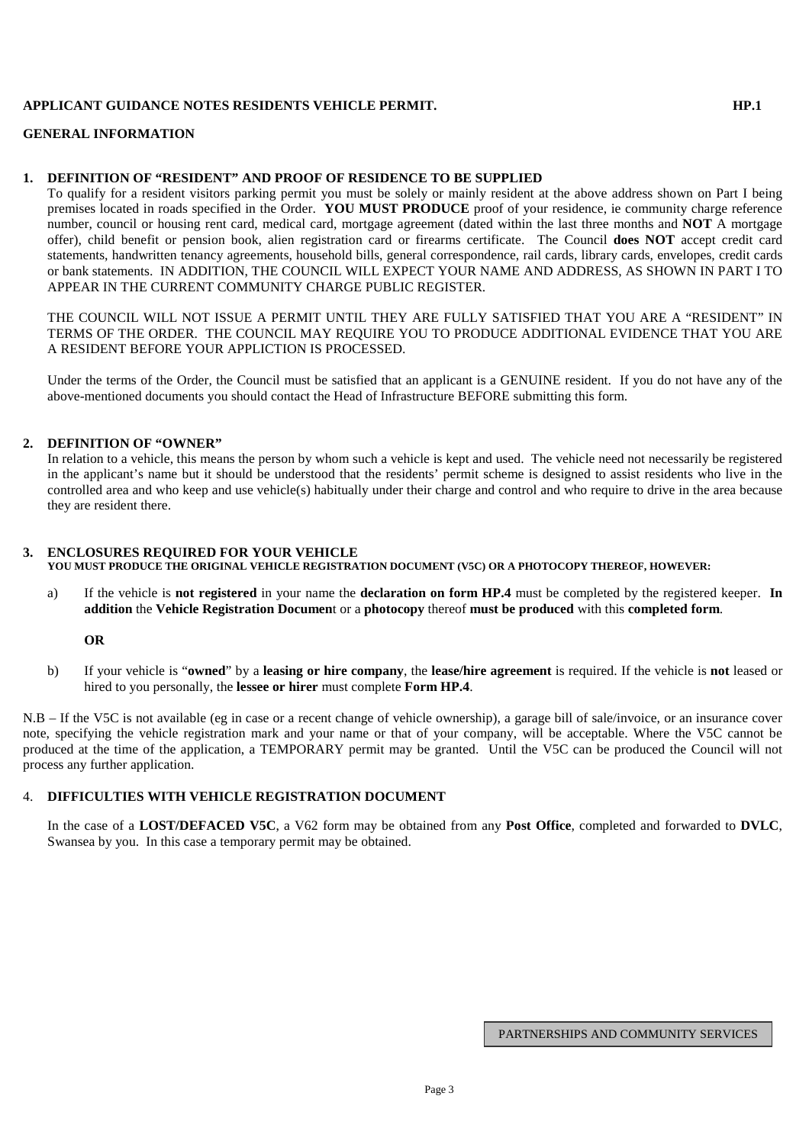# **APPLICANT GUIDANCE NOTES RESIDENTS VEHICLE PERMIT. HP.1**

### **GENERAL INFORMATION**

## **1. DEFINITION OF "RESIDENT" AND PROOF OF RESIDENCE TO BE SUPPLIED**

To qualify for a resident visitors parking permit you must be solely or mainly resident at the above address shown on Part I being premises located in roads specified in the Order. **YOU MUST PRODUCE** proof of your residence, ie community charge reference number, council or housing rent card, medical card, mortgage agreement (dated within the last three months and **NOT** A mortgage offer), child benefit or pension book, alien registration card or firearms certificate. The Council **does NOT** accept credit card statements, handwritten tenancy agreements, household bills, general correspondence, rail cards, library cards, envelopes, credit cards or bank statements. IN ADDITION, THE COUNCIL WILL EXPECT YOUR NAME AND ADDRESS, AS SHOWN IN PART I TO APPEAR IN THE CURRENT COMMUNITY CHARGE PUBLIC REGISTER.

THE COUNCIL WILL NOT ISSUE A PERMIT UNTIL THEY ARE FULLY SATISFIED THAT YOU ARE A "RESIDENT" IN TERMS OF THE ORDER. THE COUNCIL MAY REQUIRE YOU TO PRODUCE ADDITIONAL EVIDENCE THAT YOU ARE A RESIDENT BEFORE YOUR APPLICTION IS PROCESSED.

Under the terms of the Order, the Council must be satisfied that an applicant is a GENUINE resident. If you do not have any of the above-mentioned documents you should contact the Head of Infrastructure BEFORE submitting this form.

## **2. DEFINITION OF "OWNER"**

In relation to a vehicle, this means the person by whom such a vehicle is kept and used. The vehicle need not necessarily be registered in the applicant's name but it should be understood that the residents' permit scheme is designed to assist residents who live in the controlled area and who keep and use vehicle(s) habitually under their charge and control and who require to drive in the area because they are resident there.

# **3. ENCLOSURES REQUIRED FOR YOUR VEHICLE**

# **YOU MUST PRODUCE THE ORIGINAL VEHICLE REGISTRATION DOCUMENT (V5C) OR A PHOTOCOPY THEREOF, HOWEVER:**

a) If the vehicle is **not registered** in your name the **declaration on form HP.4** must be completed by the registered keeper. **In addition** the **Vehicle Registration Documen**t or a **photocopy** thereof **must be produced** with this **completed form**.

### **OR**

b) If your vehicle is "**owned**" by a **leasing or hire company**, the **lease/hire agreement** is required. If the vehicle is **not** leased or hired to you personally, the **lessee or hirer** must complete **Form HP.4**.

N.B – If the V5C is not available (eg in case or a recent change of vehicle ownership), a garage bill of sale/invoice, or an insurance cover note, specifying the vehicle registration mark and your name or that of your company, will be acceptable. Where the V5C cannot be produced at the time of the application, a TEMPORARY permit may be granted. Until the V5C can be produced the Council will not process any further application.

## 4. **DIFFICULTIES WITH VEHICLE REGISTRATION DOCUMENT**

In the case of a **LOST/DEFACED V5C**, a V62 form may be obtained from any **Post Office**, completed and forwarded to **DVLC**, Swansea by you. In this case a temporary permit may be obtained.

PARTNERSHIPS AND COMMUNITY SERVICES